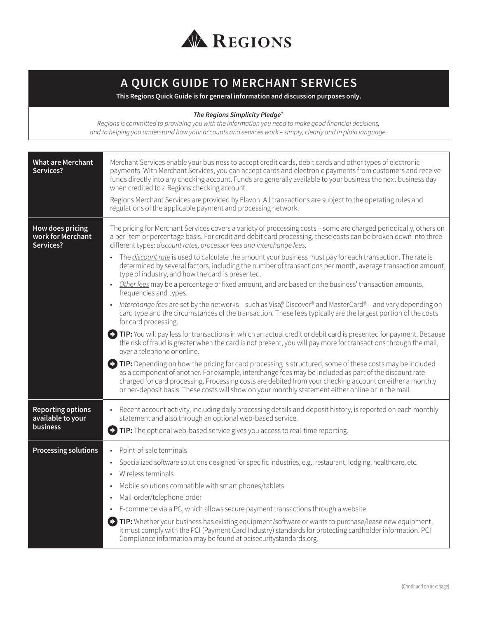

# **A QUICK GUIDE TO MERCHANT SERVICES**

**This Regions Quick Guide is for general information and discussion purposes only.**

#### *The Regions Simplicity Pledge***®**

*Regions is committed to providing you with the information you need to make good financial decisions, and to helping you understand how your accounts and services work – simply, clearly and in plain language.*

| <b>What are Merchant</b><br>Services?                            | Merchant Services enable your business to accept credit cards, debit cards and other types of electronic<br>payments. With Merchant Services, you can accept cards and electronic payments from customers and receive<br>funds directly into any checking account. Funds are generally available to your business the next business day<br>when credited to a Regions checking account.<br>Regions Merchant Services are provided by Elavon. All transactions are subject to the operating rules and<br>regulations of the applicable payment and processing network.                                                                                                                                                                                                                                                                                                                                                                                                                                                                                                                                                                                                                                                                                                                                                                                                                                                                                                                                                                                                                                                                                                                                          |
|------------------------------------------------------------------|----------------------------------------------------------------------------------------------------------------------------------------------------------------------------------------------------------------------------------------------------------------------------------------------------------------------------------------------------------------------------------------------------------------------------------------------------------------------------------------------------------------------------------------------------------------------------------------------------------------------------------------------------------------------------------------------------------------------------------------------------------------------------------------------------------------------------------------------------------------------------------------------------------------------------------------------------------------------------------------------------------------------------------------------------------------------------------------------------------------------------------------------------------------------------------------------------------------------------------------------------------------------------------------------------------------------------------------------------------------------------------------------------------------------------------------------------------------------------------------------------------------------------------------------------------------------------------------------------------------------------------------------------------------------------------------------------------------|
| How does pricing<br>work for Merchant<br>Services?               | The pricing for Merchant Services covers a variety of processing costs - some are charged periodically, others on<br>a per-item or percentage basis. For credit and debit card processing, these costs can be broken down into three<br>different types: discount rates, processor fees and interchange fees.<br>• The <i>discount rate</i> is used to calculate the amount your business must pay for each transaction. The rate is<br>determined by several factors, including the number of transactions per month, average transaction amount,<br>type of industry, and how the card is presented.<br>Other fees may be a percentage or fixed amount, and are based on the business' transaction amounts,<br>frequencies and types.<br>Interchange fees are set by the networks - such as Visa,® Discover® and MasterCard® - and vary depending on<br>card type and the circumstances of the transaction. These fees typically are the largest portion of the costs<br>for card processing.<br>TIP: You will pay less for transactions in which an actual credit or debit card is presented for payment. Because<br>the risk of fraud is greater when the card is not present, you will pay more for transactions through the mail,<br>over a telephone or online.<br>TIP: Depending on how the pricing for card processing is structured, some of these costs may be included<br>as a component of another. For example, interchange fees may be included as part of the discount rate<br>charged for card processing. Processing costs are debited from your checking account on either a monthly<br>or per-deposit basis. These costs will show on your monthly statement either online or in the mail. |
| <b>Reporting options</b><br>available to your<br><b>business</b> | • Recent account activity, including daily processing details and deposit history, is reported on each monthly<br>statement and also through an optional web-based service.<br>$\bullet$ TIP: The optional web-based service gives you access to real-time reporting.                                                                                                                                                                                                                                                                                                                                                                                                                                                                                                                                                                                                                                                                                                                                                                                                                                                                                                                                                                                                                                                                                                                                                                                                                                                                                                                                                                                                                                          |
| <b>Processing solutions</b>                                      | Point-of-sale terminals<br>$\bullet$<br>Specialized software solutions designed for specific industries, e.g., restaurant, lodging, healthcare, etc.<br>$\bullet$<br>Wireless terminals<br>$\bullet$<br>Mobile solutions compatible with smart phones/tablets<br>Mail-order/telephone-order<br>E-commerce via a PC, which allows secure payment transactions through a website<br>(2) TIP: Whether your business has existing equipment/software or wants to purchase/lease new equipment,<br>it must comply with the PCI (Payment Card Industry) standards for protecting cardholder information. PCI<br>Compliance information may be found at pcisecuritystandards.org.                                                                                                                                                                                                                                                                                                                                                                                                                                                                                                                                                                                                                                                                                                                                                                                                                                                                                                                                                                                                                                     |